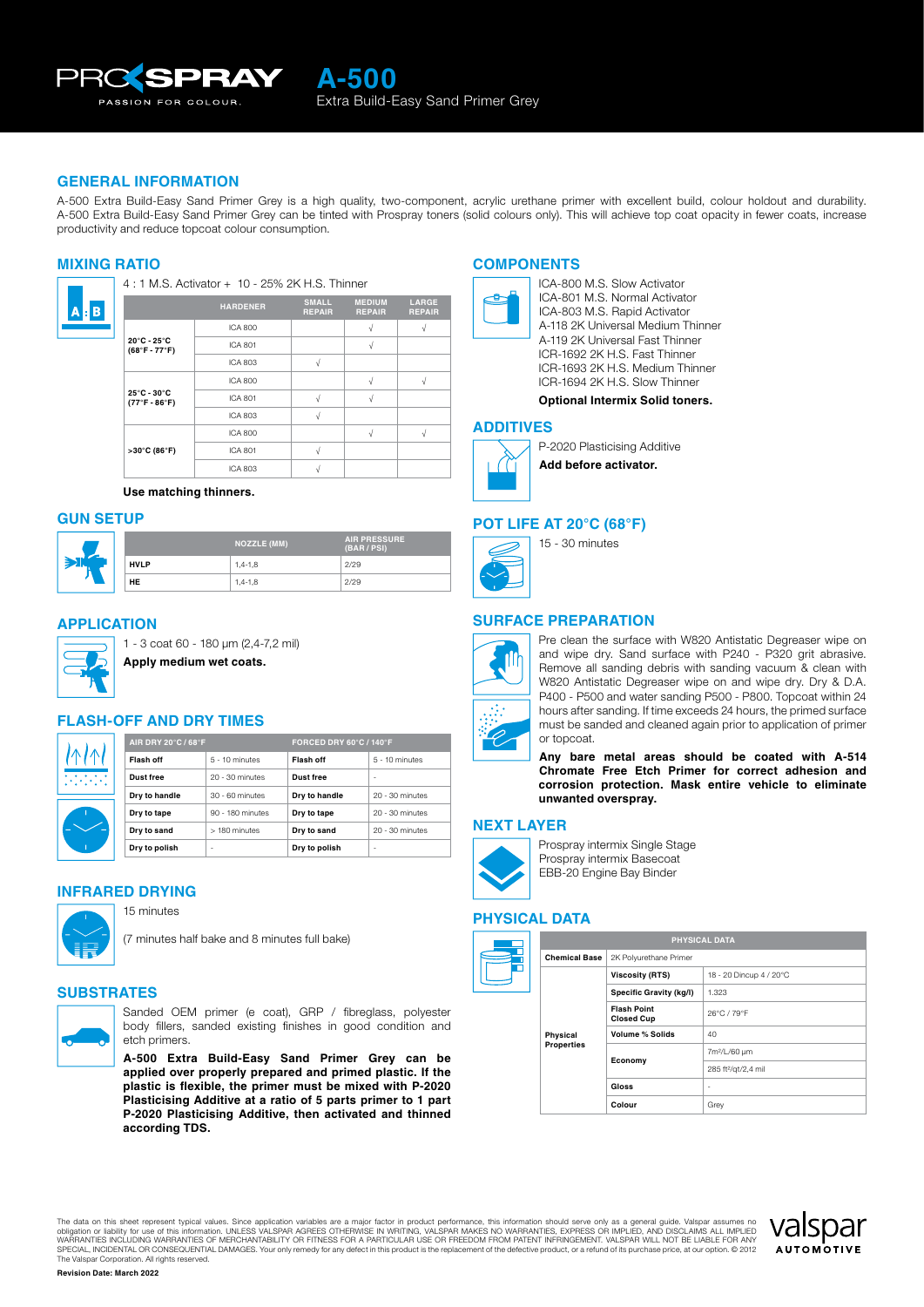

## **GENERAL INFORMATION**

The primer with excellent build, conly). This will achieve top coat op:<br>ICA-800 M.S. Slow Activator<br>ICA-801 M.S. Normal Activator<br>ICA-801 M.S. Normal Activator A-500 Extra Build-Easy Sand Primer Grey can be tinted with Prospray toners (solid colours only). This will achieve top coat opacity in fewer coats, increase<br>productivity and reduce topcoat colour consumption.<br>MIXING RATIO<br> A-500 Extra Build-Easy Sand Primer Grey is a high quality, two-component, acrylic urethane primer with excellent build, colour holdout and durability. productivity and reduce topcoat colour consumption.

#### **MIXING RATIO**



**Use matching thinners.**

## **GUN SETUP**

| ∍ |             | <b>NOZZLE (MM)</b> | <b>AIR PRESSURE</b><br>(BAR / PSI) |
|---|-------------|--------------------|------------------------------------|
|   | <b>HVLP</b> | $1,4-1,8$          | 2/29                               |
|   | HE          | $1,4-1,8$          | 2/29                               |

## **APPLICATION**



1 - 3 coat 60 - 180 μm (2,4-7,2 mil)

**Apply medium wet coats.**

## **FLASH-OFF AND DRY TIMES**

| ↑<br>$\mathcal{N}$ |  |
|--------------------|--|
|                    |  |

**AIR DRY 20°C / 68°F FORCED DRY 60°C / 140°F Flash off** 5 - 10 minutes **Flash off** 5 - 10 minutes

| Dust free     | 20 - 30 minutes  | <b>Dust free</b> | ۰               |
|---------------|------------------|------------------|-----------------|
| Dry to handle | 30 - 60 minutes  | Dry to handle    | 20 - 30 minutes |
| Dry to tape   | 90 - 180 minutes | Dry to tape      | 20 - 30 minutes |
| Dry to sand   | > 180 minutes    | Dry to sand      | 20 - 30 minutes |
| Dry to polish | ۰                | Dry to polish    | ۰               |
|               |                  |                  |                 |

### **INFRARED DRYING**



15 minutes



## **SUBSTRATES**



Sanded OEM primer (e coat), GRP / fibreglass, polyester body fillers, sanded existing finishes in good condition and etch primers.

**A-500 Extra Build-Easy Sand Primer Grey can be applied over properly prepared and primed plastic. If the plastic is flexible, the primer must be mixed with P-2020 Plasticising Additive at a ratio of 5 parts primer to 1 part P-2020 Plasticising Additive, then activated and thinned according TDS.**

## **COMPONENTS**



**IENTS**<br>ICA-800 M.S. Slow Activator<br>ICA-801 M.S. Normal Activator<br>ICA-803 M.S. Rapid Activator<br>A-118 2K Universal Medium Thinner **IENTS**<br>ICA-800 M.S. Slow Activator<br>ICA-801 M.S. Normal Activator<br>ICA-803 M.S. Rapid Activator<br>A-119 2K Universal Fast Thinner<br>A-119 2K Universal Fast Thinner **IENTS**<br>ICA-800 M.S. Slow Activator<br>ICA-801 M.S. Normal Activator<br>ICA-803 M.S. Rapid Activator<br>A-119 2K Universal Fast Thinner<br>ICR-1692 2K H.S. Fast Thinner<br>ICR-1692 2K H.S. Fast Thinner **ICA-800 M.S. Slow Activator<br>ICA-801 M.S. Normal Activator<br>ICA-803 M.S. Rapid Activator<br>A-118 2K Universal Medium Thinner<br>A-119 2K Universal Fast Thinner<br>ICR-1692 2K H.S. Fast Thinner<br>ICR-1693 2K H.S. Medium Thinner** ICA-800 M.S. Slow Activator<br>ICA-801 M.S. Normal Activator<br>ICA-803 M.S. Rapid Activator<br>A-118 2K Universal Medium Thinner<br>A-119 2K Universal Fast Thinner<br>ICR-1693 2K H.S. Medium Thinner<br>ICR-1694 2K H.S. Slow Thinner<br>ICR-169 ICR-1694 2K H.S. Slow Thinner

## **Optional Intermix Solid toners.**

#### **ADDITIVES**



P-2020 Plasticising Additive **Add before activator.**

#### **POT LIFE AT 20°C (68°F)**



15 - 30 minutes

## **SURFACE PREPARATION**



Pre clean the surface with W820 Antistatic Degreaser wipe on and wipe dry. Sand surface with P240 - P320 grit abrasive. Remove all sanding debris with sanding vacuum & clean with W820 Antistatic Degreaser wipe on and wipe dry. Dry & D.A. P400 - P500 and water sanding P500 - P800. Topcoat within 24 hours after sanding. If time exceeds 24 hours, the primed surface must be sanded and cleaned again prior to application of primer or topcoat.

**Any bare metal areas should be coated with A-514 Chromate Free Etch Primer for correct adhesion and corrosion protection. Mask entire vehicle to eliminate unwanted overspray.**

#### **NEXT LAYER**



Prospray intermix Single Stage Prospray intermix Basecoat EBB-20 Engine Bay Binder

# **PHYSICAL DATA**



The data on this sheet represent typical values. Since application variables are a major factor in product performance, this information should serve only as a general guide. Valspar assumes no<br>obligation or liability for WARRANTIES INCLUDING WARRANTIES OF MERCHANTABILITY OR FITNESS FOR A PARTICULAR USE OR FREEDOM FROM PATENT INFRINGEMENT. VALSPAR WILL NOT BE LIABLE FOR ANY<br>SPECIAL, INCIDENTAL OR CONSEQUENTIAL DAMAGES. Your only remedy for